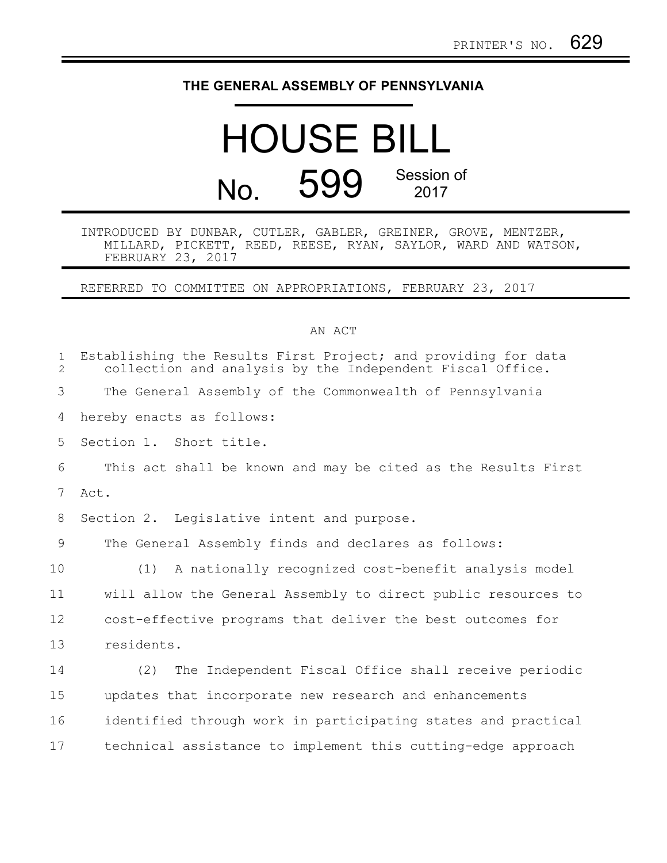## **THE GENERAL ASSEMBLY OF PENNSYLVANIA**

## HOUSE BILL No. 599 Session of 2017

INTRODUCED BY DUNBAR, CUTLER, GABLER, GREINER, GROVE, MENTZER, MILLARD, PICKETT, REED, REESE, RYAN, SAYLOR, WARD AND WATSON, FEBRUARY 23, 2017

REFERRED TO COMMITTEE ON APPROPRIATIONS, FEBRUARY 23, 2017

## AN ACT

| $\mathbf{1}$<br>$\overline{2}$ | Establishing the Results First Project; and providing for data<br>collection and analysis by the Independent Fiscal Office. |
|--------------------------------|-----------------------------------------------------------------------------------------------------------------------------|
| 3                              | The General Assembly of the Commonwealth of Pennsylvania                                                                    |
| 4                              | hereby enacts as follows:                                                                                                   |
| 5                              | Section 1. Short title.                                                                                                     |
| 6                              | This act shall be known and may be cited as the Results First                                                               |
| 7                              | Act.                                                                                                                        |
| 8                              | Section 2. Legislative intent and purpose.                                                                                  |
| 9                              | The General Assembly finds and declares as follows:                                                                         |
| 10                             | A nationally recognized cost-benefit analysis model<br>(1)                                                                  |
| 11                             | will allow the General Assembly to direct public resources to                                                               |
| 12                             | cost-effective programs that deliver the best outcomes for                                                                  |
| 13                             | residents.                                                                                                                  |
| 14                             | The Independent Fiscal Office shall receive periodic<br>(2)                                                                 |
| 15                             | updates that incorporate new research and enhancements                                                                      |
| 16                             | identified through work in participating states and practical                                                               |
| 17                             | technical assistance to implement this cutting-edge approach                                                                |
|                                |                                                                                                                             |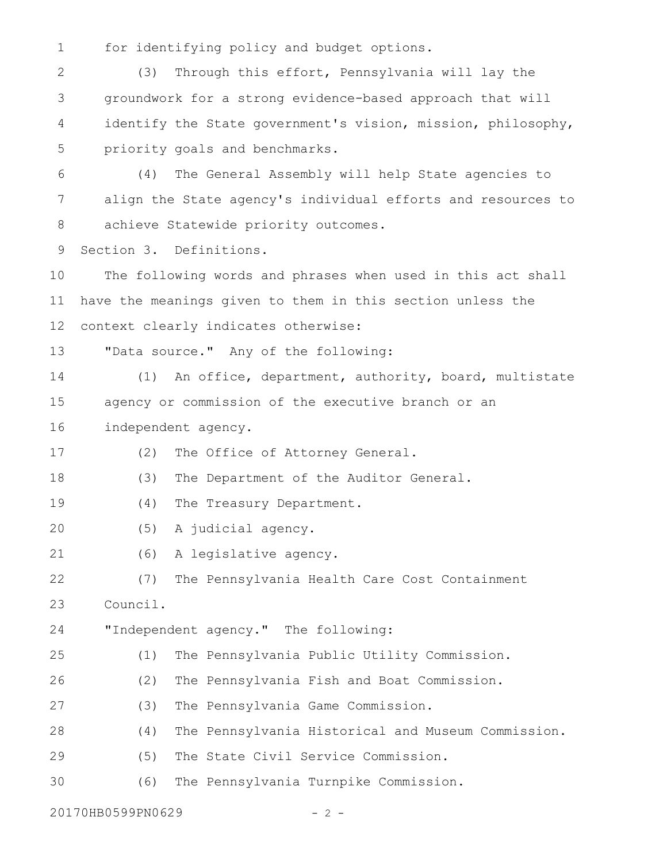for identifying policy and budget options. 1

(3) Through this effort, Pennsylvania will lay the groundwork for a strong evidence-based approach that will identify the State government's vision, mission, philosophy, priority goals and benchmarks. 2 3 4 5

(4) The General Assembly will help State agencies to align the State agency's individual efforts and resources to achieve Statewide priority outcomes. 6 7 8

Section 3. Definitions. 9

The following words and phrases when used in this act shall have the meanings given to them in this section unless the context clearly indicates otherwise: 10 11 12

"Data source." Any of the following: 13

(1) An office, department, authority, board, multistate agency or commission of the executive branch or an 14 15

independent agency. 16

(2) The Office of Attorney General. 17

(3) The Department of the Auditor General. 18

(4) The Treasury Department. 19

(5) A judicial agency. 20

(6) A legislative agency. 21

(7) The Pennsylvania Health Care Cost Containment Council. 22 23

"Independent agency." The following: 24

(1) The Pennsylvania Public Utility Commission. 25

(2) The Pennsylvania Fish and Boat Commission. 26

(3) The Pennsylvania Game Commission. 27

(4) The Pennsylvania Historical and Museum Commission. 28

(5) The State Civil Service Commission. 29

(6) The Pennsylvania Turnpike Commission. 30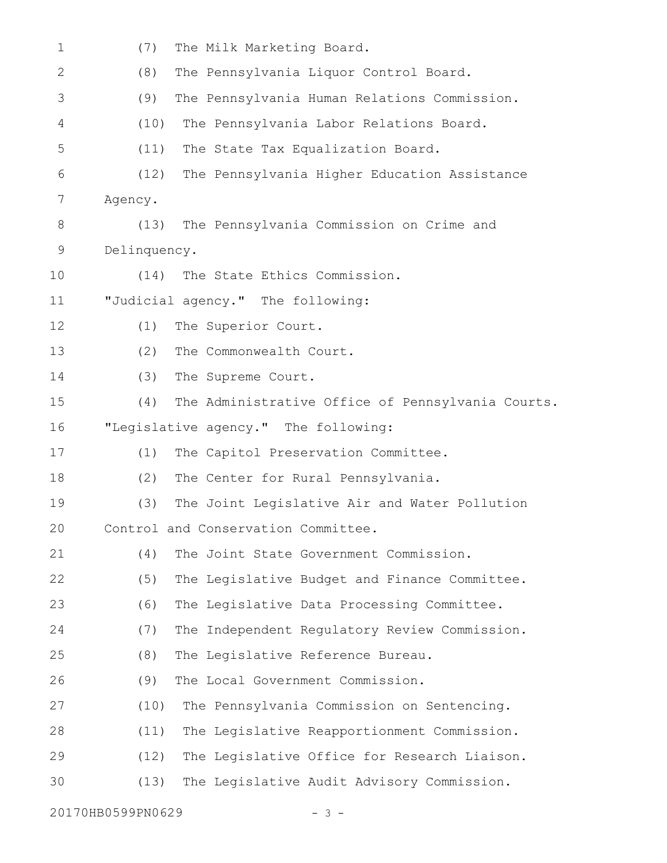| $\mathbf 1$  | (7)<br>The Milk Marketing Board.                         |
|--------------|----------------------------------------------------------|
| $\mathbf{2}$ | The Pennsylvania Liquor Control Board.<br>(8)            |
| 3            | (9)<br>The Pennsylvania Human Relations Commission.      |
| 4            | (10)<br>The Pennsylvania Labor Relations Board.          |
| 5            | (11)<br>The State Tax Equalization Board.                |
| 6            | The Pennsylvania Higher Education Assistance<br>(12)     |
| 7            | Agency.                                                  |
| 8            | The Pennsylvania Commission on Crime and<br>(13)         |
| 9            | Delinquency.                                             |
| 10           | The State Ethics Commission.<br>(14)                     |
| 11           | "Judicial agency." The following:                        |
| 12           | (1)<br>The Superior Court.                               |
| 13           | (2)<br>The Commonwealth Court.                           |
| 14           | (3)<br>The Supreme Court.                                |
| 15           | The Administrative Office of Pennsylvania Courts.<br>(4) |
| 16           | "Legislative agency." The following:                     |
| 17           | (1)<br>The Capitol Preservation Committee.               |
| 18           | The Center for Rural Pennsylvania.<br>(2)                |
| 19           | The Joint Legislative Air and Water Pollution<br>(3)     |
| 20           | Control and Conservation Committee.                      |
| 21           | The Joint State Government Commission.<br>(4)            |
| 22           | (5)<br>The Legislative Budget and Finance Committee.     |
| 23           | (6)<br>The Legislative Data Processing Committee.        |
| 24           | The Independent Regulatory Review Commission.<br>(7)     |
| 25           | (8)<br>The Legislative Reference Bureau.                 |
| 26           | The Local Government Commission.<br>(9)                  |
| 27           | The Pennsylvania Commission on Sentencing.<br>(10)       |
| 28           | The Legislative Reapportionment Commission.<br>(11)      |
| 29           | The Legislative Office for Research Liaison.<br>(12)     |
| 30           | (13)<br>The Legislative Audit Advisory Commission.       |
|              |                                                          |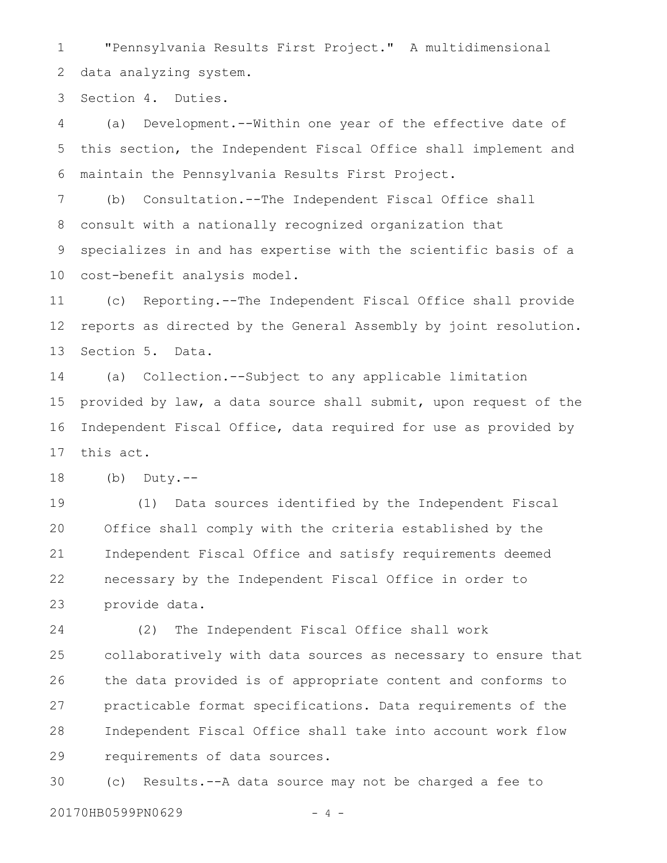"Pennsylvania Results First Project." A multidimensional data analyzing system. 1 2

Section 4. Duties. 3

(a) Development.--Within one year of the effective date of this section, the Independent Fiscal Office shall implement and maintain the Pennsylvania Results First Project. 4 5 6

(b) Consultation.--The Independent Fiscal Office shall consult with a nationally recognized organization that 7 8

specializes in and has expertise with the scientific basis of a cost-benefit analysis model. 9 10

(c) Reporting.--The Independent Fiscal Office shall provide reports as directed by the General Assembly by joint resolution. Section 5. Data. 11 12 13

(a) Collection.--Subject to any applicable limitation provided by law, a data source shall submit, upon request of the Independent Fiscal Office, data required for use as provided by this act. 14 15 16 17

 $(b)$  Duty.--18

(1) Data sources identified by the Independent Fiscal Office shall comply with the criteria established by the Independent Fiscal Office and satisfy requirements deemed necessary by the Independent Fiscal Office in order to provide data. 19 20 21 22 23

(2) The Independent Fiscal Office shall work collaboratively with data sources as necessary to ensure that the data provided is of appropriate content and conforms to practicable format specifications. Data requirements of the Independent Fiscal Office shall take into account work flow requirements of data sources. 24 25 26 27 28 29

(c) Results.--A data source may not be charged a fee to 20170HB0599PN0629 - 4 -30